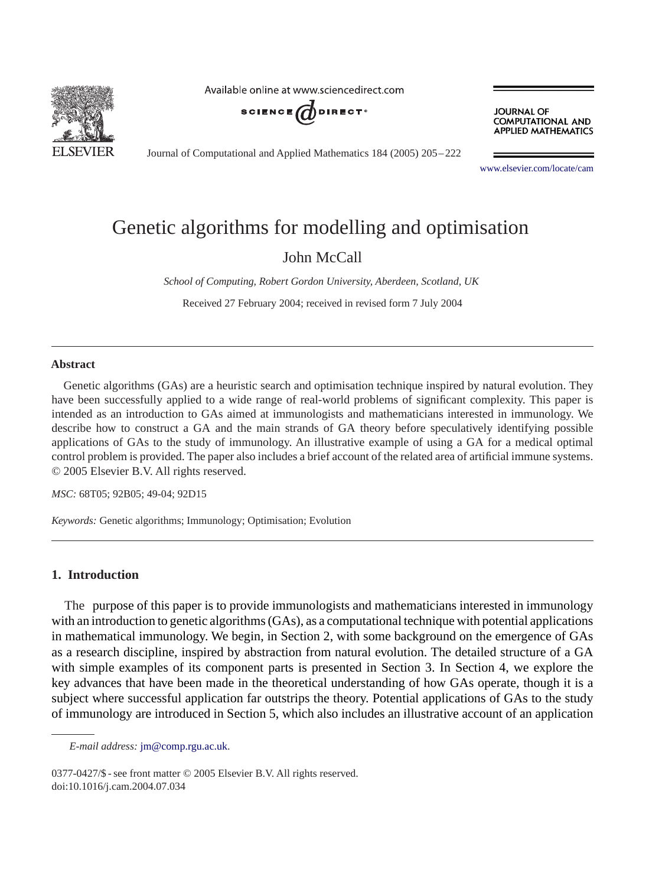

Available online at www.sciencedirect.com



**JOURNAL OF COMPUTATIONAL AND APPLIED MATHEMATICS** 

Journal of Computational and Applied Mathematics 184 (2005) 205–222

[www.elsevier.com/locate/cam](http://www.elsevier.com/locate/cam)

# Genetic algorithms for modelling and optimisation

John McCall

*School of Computing, Robert Gordon University, Aberdeen, Scotland, UK*

Received 27 February 2004; received in revised form 7 July 2004

#### **Abstract**

Genetic algorithms (GAs) are a heuristic search and optimisation technique inspired by natural evolution. They have been successfully applied to a wide range of real-world problems of significant complexity. This paper is intended as an introduction to GAs aimed at immunologists and mathematicians interested in immunology. We describe how to construct a GA and the main strands of GA theory before speculatively identifying possible applications of GAs to the study of immunology. An illustrative example of using a GA for a medical optimal control problem is provided. The paper also includes a brief account of the related area of artificial immune systems. © 2005 Elsevier B.V. All rights reserved.

*MSC:* 68T05; 92B05; 49-04; 92D15

*Keywords:* Genetic algorithms; Immunology; Optimisation; Evolution

# **1. Introduction**

The purpose of this paper is to provide immunologists and mathematicians interested in immunology with an introduction to genetic algorithms (GAs), as a computational technique with potential applications in mathematical immunology. We begin, in Section 2, with some background on the emergence of GAs as a research discipline, inspired by abstraction from natural evolution. The detailed structure of a GA with simple examples of its component parts is presented in Section 3. In Section 4, we explore the key advances that have been made in the theoretical understanding of how GAs operate, though it is a subject where successful application far outstrips the theory. Potential applications of GAs to the study of immunology are introduced in Section 5, which also includes an illustrative account of an application

*E-mail address:* [jm@comp.rgu.ac.uk.](mailto:jm@comp.rgu.ac.uk)

<sup>0377-0427/\$ -</sup> see front matter © 2005 Elsevier B.V. All rights reserved. doi:10.1016/j.cam.2004.07.034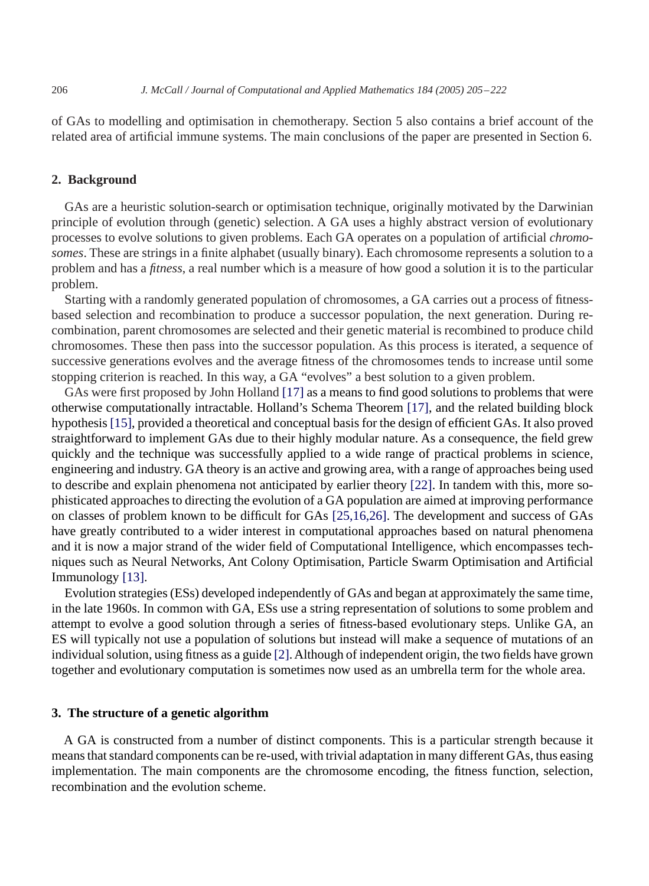of GAs to modelling and optimisation in chemotherapy. Section 5 also contains a brief account of the related area of artificial immune systems. The main conclusions of the paper are presented in Section 6.

# **2. Background**

GAs are a heuristic solution-search or optimisation technique, originally motivated by the Darwinian principle of evolution through (genetic) selection. A GA uses a highly abstract version of evolutionary processes to evolve solutions to given problems. Each GA operates on a population of artificial *chromosomes*. These are strings in a finite alphabet (usually binary). Each chromosome represents a solution to a problem and has a *fitness*, a real number which is a measure of how good a solution it is to the particular problem.

Starting with a randomly generated population of chromosomes, a GA carries out a process of fitnessbased selection and recombination to produce a successor population, the next generation. During recombination, parent chromosomes are selected and their genetic material is recombined to produce child chromosomes. These then pass into the successor population. As this process is iterated, a sequence of successive generations evolves and the average fitness of the chromosomes tends to increase until some stopping criterion is reached. In this way, a GA "evolves" a best solution to a given problem.

GAs were first proposed by John Holland [\[17\]](#page-16-0) as a means to find good solutions to problems that were otherwise computationally intractable. Holland's Schema Theorem [\[17\],](#page-16-0) and the related building block hypothesis [\[15\],](#page-16-0) provided a theoretical and conceptual basis for the design of efficient GAs. It also proved straightforward to implement GAs due to their highly modular nature. As a consequence, the field grew quickly and the technique was successfully applied to a wide range of practical problems in science, engineering and industry. GA theory is an active and growing area, with a range of approaches being used to describe and explain phenomena not anticipated by earlier theory [\[22\].](#page-16-0) In tandem with this, more sophisticated approaches to directing the evolution of a GA population are aimed at improving performance on classes of problem known to be difficult for GAs [25,16,26]. The development and success of GAs have greatly contributed to a wider interest in computational approaches based on natural phenomena and it is now a major strand of the wider field of Computational Intelligence, which encompasses techniques such as Neural Networks, Ant Colony Optimisation, Particle Swarm Optimisation and Artificial Immunology [\[13\].](#page-16-0)

Evolution strategies (ESs) developed independently of GAs and began at approximately the same time, in the late 1960s. In common with GA, ESs use a string representation of solutions to some problem and attempt to evolve a good solution through a series of fitness-based evolutionary steps. Unlike GA, an ES will typically not use a population of solutions but instead will make a sequence of mutations of an individual solution, using fitness as a guide [\[2\].](#page-15-0) Although of independent origin, the two fields have grown together and evolutionary computation is sometimes now used as an umbrella term for the whole area.

## **3. The structure of a genetic algorithm**

A GA is constructed from a number of distinct components. This is a particular strength because it means that standard components can be re-used, with trivial adaptation in many different GAs, thus easing implementation. The main components are the chromosome encoding, the fitness function, selection, recombination and the evolution scheme.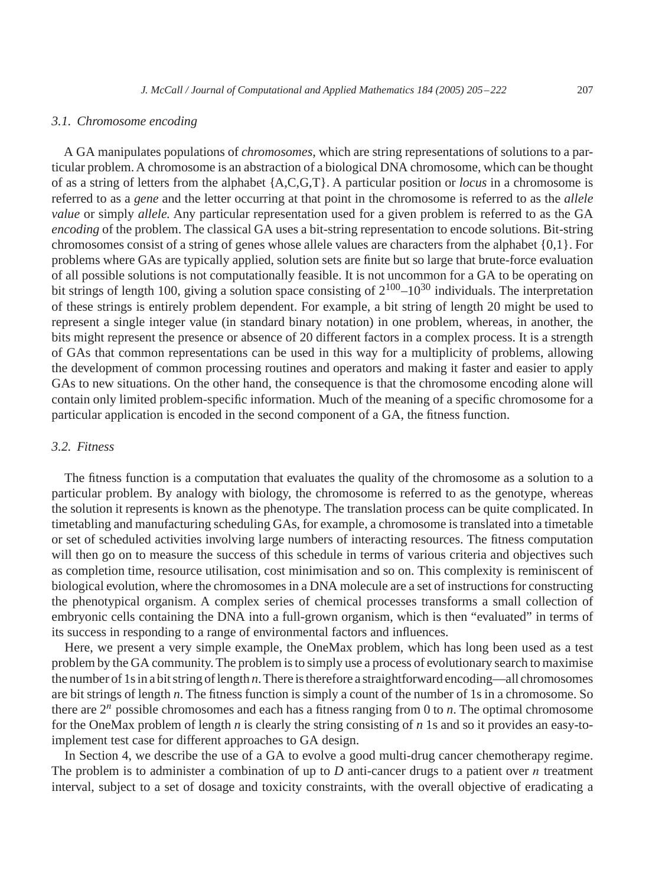#### *3.1. Chromosome encoding*

A GA manipulates populations of *chromosomes*, which are string representations of solutions to a particular problem. A chromosome is an abstraction of a biological DNA chromosome, which can be thought of as a string of letters from the alphabet {A,C,G,T}. A particular position or *locus* in a chromosome is referred to as a *gene* and the letter occurring at that point in the chromosome is referred to as the *allele value* or simply *allele.* Any particular representation used for a given problem is referred to as the GA *encoding* of the problem. The classical GA uses a bit-string representation to encode solutions. Bit-string chromosomes consist of a string of genes whose allele values are characters from the alphabet {0,1}. For problems where GAs are typically applied, solution sets are finite but so large that brute-force evaluation of all possible solutions is not computationally feasible. It is not uncommon for a GA to be operating on bit strings of length 100, giving a solution space consisting of  $2^{100}$ –10<sup>30</sup> individuals. The interpretation of these strings is entirely problem dependent. For example, a bit string of length 20 might be used to represent a single integer value (in standard binary notation) in one problem, whereas, in another, the bits might represent the presence or absence of 20 different factors in a complex process. It is a strength of GAs that common representations can be used in this way for a multiplicity of problems, allowing the development of common processing routines and operators and making it faster and easier to apply GAs to new situations. On the other hand, the consequence is that the chromosome encoding alone will contain only limited problem-specific information. Much of the meaning of a specific chromosome for a particular application is encoded in the second component of a GA, the fitness function.

# *3.2. Fitness*

The fitness function is a computation that evaluates the quality of the chromosome as a solution to a particular problem. By analogy with biology, the chromosome is referred to as the genotype, whereas the solution it represents is known as the phenotype. The translation process can be quite complicated. In timetabling and manufacturing scheduling GAs, for example, a chromosome is translated into a timetable or set of scheduled activities involving large numbers of interacting resources. The fitness computation will then go on to measure the success of this schedule in terms of various criteria and objectives such as completion time, resource utilisation, cost minimisation and so on. This complexity is reminiscent of biological evolution, where the chromosomes in a DNA molecule are a set of instructions for constructing the phenotypical organism. A complex series of chemical processes transforms a small collection of embryonic cells containing the DNA into a full-grown organism, which is then "evaluated" in terms of its success in responding to a range of environmental factors and influences.

Here, we present a very simple example, the OneMax problem, which has long been used as a test problem by the GA community. The problem is to simply use a process of evolutionary search to maximise the number of 1s in a bit string of length *n*.There is therefore a straightforward encoding—all chromosomes are bit strings of length *n*. The fitness function is simply a count of the number of 1s in a chromosome. So there are  $2^n$  possible chromosomes and each has a fitness ranging from 0 to *n*. The optimal chromosome for the OneMax problem of length *n* is clearly the string consisting of *n* 1s and so it provides an easy-toimplement test case for different approaches to GA design.

In Section 4, we describe the use of a GA to evolve a good multi-drug cancer chemotherapy regime. The problem is to administer a combination of up to *D* anti-cancer drugs to a patient over *n* treatment interval, subject to a set of dosage and toxicity constraints, with the overall objective of eradicating a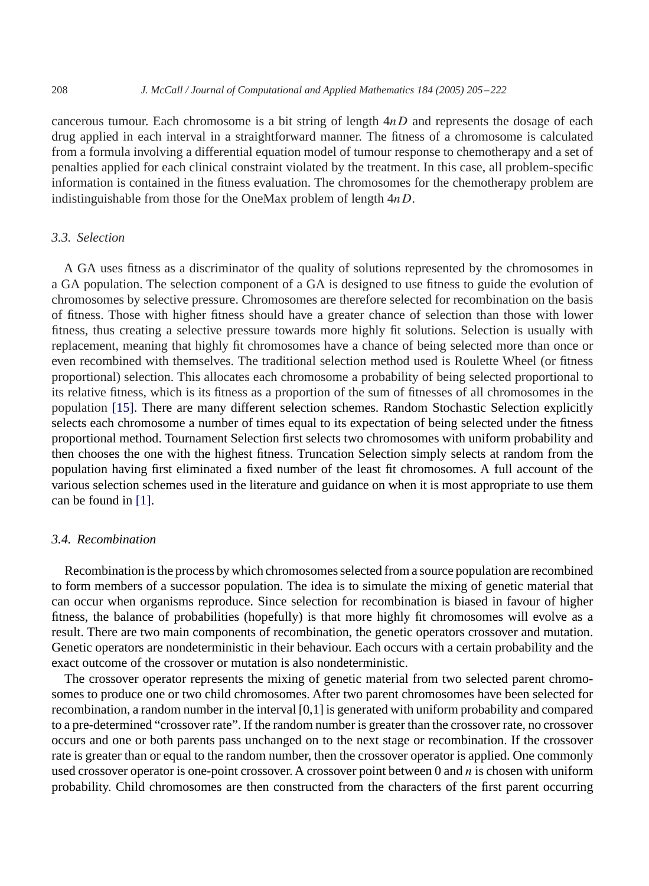cancerous tumour. Each chromosome is a bit string of length  $4nD$  and represents the dosage of each drug applied in each interval in a straightforward manner. The fitness of a chromosome is calculated from a formula involving a differential equation model of tumour response to chemotherapy and a set of penalties applied for each clinical constraint violated by the treatment. In this case, all problem-specific information is contained in the fitness evaluation. The chromosomes for the chemotherapy problem are indistinguishable from those for the OneMax problem of length  $4nD$ .

#### *3.3. Selection*

A GA uses fitness as a discriminator of the quality of solutions represented by the chromosomes in a GA population. The selection component of a GA is designed to use fitness to guide the evolution of chromosomes by selective pressure. Chromosomes are therefore selected for recombination on the basis of fitness. Those with higher fitness should have a greater chance of selection than those with lower fitness, thus creating a selective pressure towards more highly fit solutions. Selection is usually with replacement, meaning that highly fit chromosomes have a chance of being selected more than once or even recombined with themselves. The traditional selection method used is Roulette Wheel (or fitness proportional) selection. This allocates each chromosome a probability of being selected proportional to its relative fitness, which is its fitness as a proportion of the sum of fitnesses of all chromosomes in the population [\[15\].](#page-16-0) There are many different selection schemes. Random Stochastic Selection explicitly selects each chromosome a number of times equal to its expectation of being selected under the fitness proportional method. Tournament Selection first selects two chromosomes with uniform probability and then chooses the one with the highest fitness. Truncation Selection simply selects at random from the population having first eliminated a fixed number of the least fit chromosomes. A full account of the various selection schemes used in the literature and guidance on when it is most appropriate to use them can be found in [\[1\].](#page-15-0)

# *3.4. Recombination*

Recombination is the process by which chromosomes selected from a source population are recombined to form members of a successor population. The idea is to simulate the mixing of genetic material that can occur when organisms reproduce. Since selection for recombination is biased in favour of higher fitness, the balance of probabilities (hopefully) is that more highly fit chromosomes will evolve as a result. There are two main components of recombination, the genetic operators crossover and mutation. Genetic operators are nondeterministic in their behaviour. Each occurs with a certain probability and the exact outcome of the crossover or mutation is also nondeterministic.

The crossover operator represents the mixing of genetic material from two selected parent chromosomes to produce one or two child chromosomes. After two parent chromosomes have been selected for recombination, a random number in the interval [0,1] is generated with uniform probability and compared to a pre-determined "crossover rate". If the random number is greater than the crossover rate, no crossover occurs and one or both parents pass unchanged on to the next stage or recombination. If the crossover rate is greater than or equal to the random number, then the crossover operator is applied. One commonly used crossover operator is one-point crossover. A crossover point between  $0$  and  $n$  is chosen with uniform probability. Child chromosomes are then constructed from the characters of the first parent occurring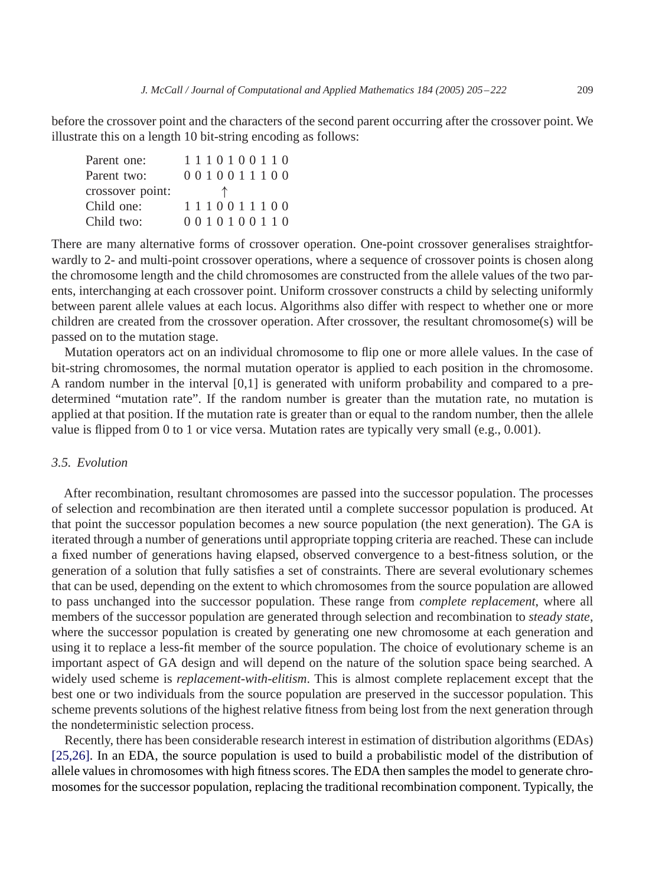before the crossover point and the characters of the second parent occurring after the crossover point. We illustrate this on a length 10 bit-string encoding as follows:

| Parent one:      | 1110100110 |
|------------------|------------|
| Parent two:      | 0010011100 |
| crossover point: |            |
| Child one:       | 1110011100 |
| Child two:       | 0010100110 |

There are many alternative forms of crossover operation. One-point crossover generalises straightforwardly to 2- and multi-point crossover operations, where a sequence of crossover points is chosen along the chromosome length and the child chromosomes are constructed from the allele values of the two parents, interchanging at each crossover point. Uniform crossover constructs a child by selecting uniformly between parent allele values at each locus. Algorithms also differ with respect to whether one or more children are created from the crossover operation. After crossover, the resultant chromosome(s) will be passed on to the mutation stage.

Mutation operators act on an individual chromosome to flip one or more allele values. In the case of bit-string chromosomes, the normal mutation operator is applied to each position in the chromosome. A random number in the interval [0,1] is generated with uniform probability and compared to a predetermined "mutation rate". If the random number is greater than the mutation rate, no mutation is applied at that position. If the mutation rate is greater than or equal to the random number, then the allele value is flipped from 0 to 1 or vice versa. Mutation rates are typically very small (e.g., 0.001).

## *3.5. Evolution*

After recombination, resultant chromosomes are passed into the successor population. The processes of selection and recombination are then iterated until a complete successor population is produced. At that point the successor population becomes a new source population (the next generation). The GA is iterated through a number of generations until appropriate topping criteria are reached. These can include a fixed number of generations having elapsed, observed convergence to a best-fitness solution, or the generation of a solution that fully satisfies a set of constraints. There are several evolutionary schemes that can be used, depending on the extent to which chromosomes from the source population are allowed to pass unchanged into the successor population. These range from *complete replacement*, where all members of the successor population are generated through selection and recombination to *steady state*, where the successor population is created by generating one new chromosome at each generation and using it to replace a less-fit member of the source population. The choice of evolutionary scheme is an important aspect of GA design and will depend on the nature of the solution space being searched. A widely used scheme is *replacement-with-elitism*. This is almost complete replacement except that the best one or two individuals from the source population are preserved in the successor population. This scheme prevents solutions of the highest relative fitness from being lost from the next generation through the nondeterministic selection process.

Recently, there has been considerable research interest in estimation of distribution algorithms (EDAs) [25,26]. In an EDA, the source population is used to build a probabilistic model of the distribution of allele values in chromosomes with high fitness scores. The EDA then samples the model to generate chromosomes for the successor population, replacing the traditional recombination component. Typically, the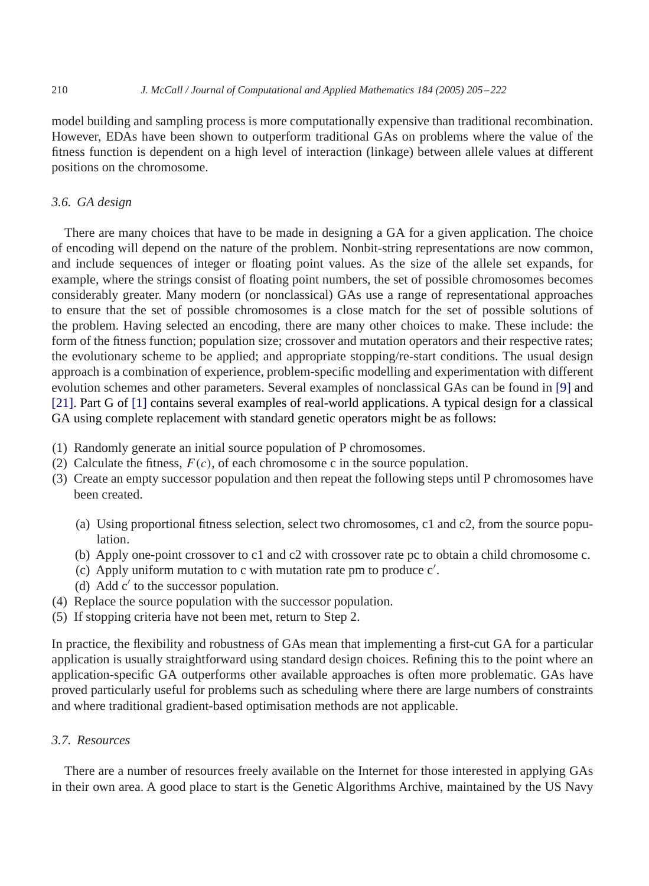model building and sampling process is more computationally expensive than traditional recombination. However, EDAs have been shown to outperform traditional GAs on problems where the value of the fitness function is dependent on a high level of interaction (linkage) between allele values at different positions on the chromosome.

# *3.6. GA design*

There are many choices that have to be made in designing a GA for a given application. The choice of encoding will depend on the nature of the problem. Nonbit-string representations are now common, and include sequences of integer or floating point values. As the size of the allele set expands, for example, where the strings consist of floating point numbers, the set of possible chromosomes becomes considerably greater. Many modern (or nonclassical) GAs use a range of representational approaches to ensure that the set of possible chromosomes is a close match for the set of possible solutions of the problem. Having selected an encoding, there are many other choices to make. These include: the form of the fitness function; population size; crossover and mutation operators and their respective rates; the evolutionary scheme to be applied; and appropriate stopping/re-start conditions. The usual design approach is a combination of experience, problem-specific modelling and experimentation with different evolution schemes and other parameters. Several examples of nonclassical GAs can be found in [\[9\]](#page-16-0) and [\[21\].](#page-16-0) Part G of [\[1\]](#page-15-0) contains several examples of real-world applications. A typical design for a classical GA using complete replacement with standard genetic operators might be as follows:

- (1) Randomly generate an initial source population of P chromosomes.
- (2) Calculate the fitness,  $F(c)$ , of each chromosome c in the source population.
- (3) Create an empty successor population and then repeat the following steps until P chromosomes have been created.
	- (a) Using proportional fitness selection, select two chromosomes, c1 and c2, from the source population.
	- (b) Apply one-point crossover to c1 and c2 with crossover rate pc to obtain a child chromosome c.
	- (c) Apply uniform mutation to c with mutation rate pm to produce  $c'$ .
	- (d) Add c' to the successor population.
- (4) Replace the source population with the successor population.
- (5) If stopping criteria have not been met, return to Step 2.

In practice, the flexibility and robustness of GAs mean that implementing a first-cut GA for a particular application is usually straightforward using standard design choices. Refining this to the point where an application-specific GA outperforms other available approaches is often more problematic. GAs have proved particularly useful for problems such as scheduling where there are large numbers of constraints and where traditional gradient-based optimisation methods are not applicable.

# *3.7. Resources*

There are a number of resources freely available on the Internet for those interested in applying GAs in their own area. A good place to start is the Genetic Algorithms Archive, maintained by the US Navy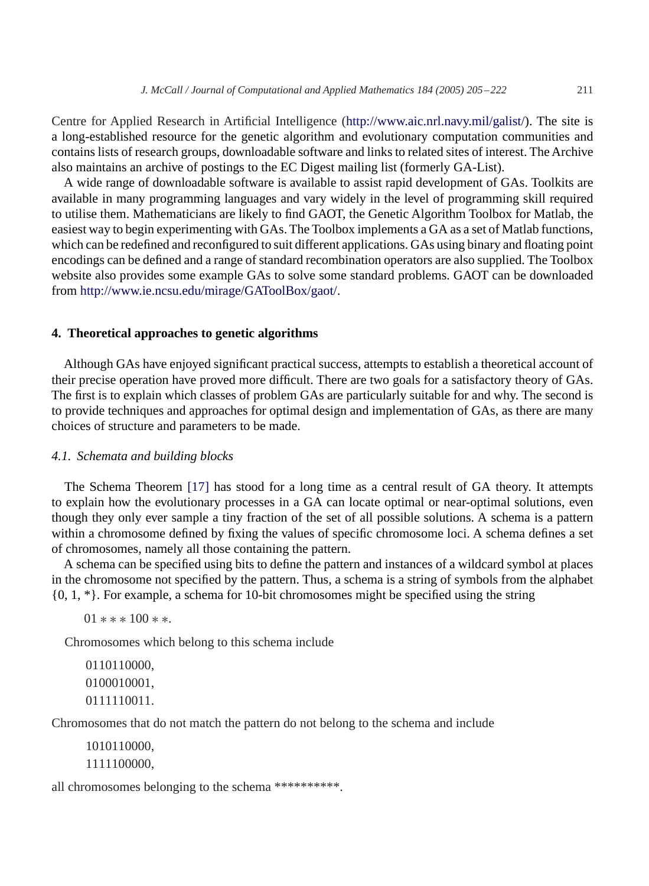Centre for Applied Research in Artificial Intelligence [\(http://www.aic.nrl.navy.mil/galist/\)](http://www.aic.nrl.navy.mil/galist/). The site is a long-established resource for the genetic algorithm and evolutionary computation communities and contains lists of research groups, downloadable software and links to related sites of interest. The Archive also maintains an archive of postings to the EC Digest mailing list (formerly GA-List).

A wide range of downloadable software is available to assist rapid development of GAs. Toolkits are available in many programming languages and vary widely in the level of programming skill required to utilise them. Mathematicians are likely to find GAOT, the Genetic Algorithm Toolbox for Matlab, the easiest way to begin experimenting with GAs. The Toolbox implements a GA as a set of Matlab functions, which can be redefined and reconfigured to suit different applications. GAs using binary and floating point encodings can be defined and a range of standard recombination operators are also supplied. The Toolbox website also provides some example GAs to solve some standard problems. GAOT can be downloaded from [http://www.ie.ncsu.edu/mirage/GAToolBox/gaot/.](http://www.ie.ncsu.edu/mirage/GAToolBox/gaot/)

# **4. Theoretical approaches to genetic algorithms**

Although GAs have enjoyed significant practical success, attempts to establish a theoretical account of their precise operation have proved more difficult. There are two goals for a satisfactory theory of GAs. The first is to explain which classes of problem GAs are particularly suitable for and why. The second is to provide techniques and approaches for optimal design and implementation of GAs, as there are many choices of structure and parameters to be made.

#### *4.1. Schemata and building blocks*

The Schema Theorem [\[17\]](#page-16-0) has stood for a long time as a central result of GA theory. It attempts to explain how the evolutionary processes in a GA can locate optimal or near-optimal solutions, even though they only ever sample a tiny fraction of the set of all possible solutions. A schema is a pattern within a chromosome defined by fixing the values of specific chromosome loci. A schema defines a set of chromosomes, namely all those containing the pattern.

A schema can be specified using bits to define the pattern and instances of a wildcard symbol at places in the chromosome not specified by the pattern. Thus, a schema is a string of symbols from the alphabet {0, 1, \*}. For example, a schema for 10-bit chromosomes might be specified using the string

 $01$  \* \* \* 100 \* \*.

Chromosomes which belong to this schema include

0110110000, 0100010001, 0111110011.

Chromosomes that do not match the pattern do not belong to the schema and include

1010110000, 1111100000,

all chromosomes belonging to the schema \*\*\*\*\*\*\*\*\*\*.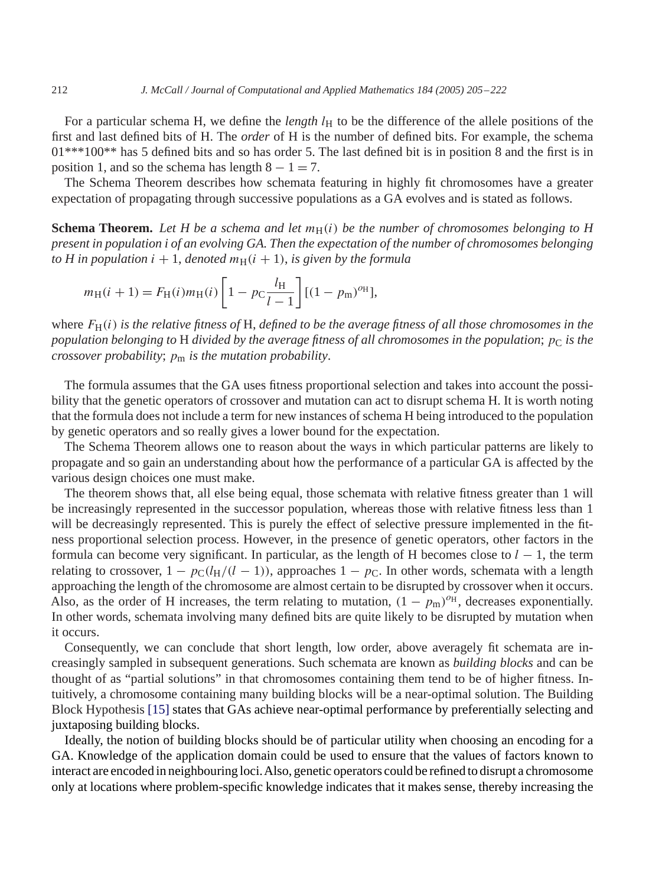For a particular schema H, we define the *length*  $l_H$  to be the difference of the allele positions of the first and last defined bits of H. The *order* of H is the number of defined bits. For example, the schema  $01***100**$  has 5 defined bits and so has order 5. The last defined bit is in position 8 and the first is in position 1, and so the schema has length  $8 - 1 = 7$ .

The Schema Theorem describes how schemata featuring in highly fit chromosomes have a greater expectation of propagating through successive populations as a GA evolves and is stated as follows.

**Schema Theorem.** Let H be a schema and let  $m_H(i)$  be the number of chromosomes belonging to H *present in population i of an evolving GA. Then the expectation of the number of chromosomes belonging to H* in population  $i + 1$ , *denoted*  $m<sub>H</sub>(i + 1)$ , *is given by the formula* 

$$
m_{\rm H}(i+1) = F_{\rm H}(i) m_{\rm H}(i) \left[ 1 - p_{\rm C} \frac{l_{\rm H}}{l-1} \right] [(1 - p_{\rm m})^{\rm o}_{\rm H}],
$$

where FH(i) *is the relative fitness of* H, *defined to be the average fitness of all those chromosomes in the population belonging to* H *divided by the average fitness of all chromosomes in the population*;  $p_C$  *is the crossover probability*; p<sup>m</sup> *is the mutation probability*.

The formula assumes that the GA uses fitness proportional selection and takes into account the possibility that the genetic operators of crossover and mutation can act to disrupt schema H. It is worth noting that the formula does not include a term for new instances of schema H being introduced to the population by genetic operators and so really gives a lower bound for the expectation.

The Schema Theorem allows one to reason about the ways in which particular patterns are likely to propagate and so gain an understanding about how the performance of a particular GA is affected by the various design choices one must make.

The theorem shows that, all else being equal, those schemata with relative fitness greater than 1 will be increasingly represented in the successor population, whereas those with relative fitness less than 1 will be decreasingly represented. This is purely the effect of selective pressure implemented in the fitness proportional selection process. However, in the presence of genetic operators, other factors in the formula can become very significant. In particular, as the length of H becomes close to  $l - 1$ , the term relating to crossover,  $1 - p_C(l_H/(l - 1))$ , approaches  $1 - p_C$ . In other words, schemata with a length approaching the length of the chromosome are almost certain to be disrupted by crossover when it occurs. Also, as the order of H increases, the term relating to mutation,  $(1 - p_m)^{\theta H}$ , decreases exponentially. In other words, schemata involving many defined bits are quite likely to be disrupted by mutation when it occurs.

Consequently, we can conclude that short length, low order, above averagely fit schemata are increasingly sampled in subsequent generations. Such schemata are known as *building blocks* and can be thought of as "partial solutions" in that chromosomes containing them tend to be of higher fitness. Intuitively, a chromosome containing many building blocks will be a near-optimal solution. The Building Block Hypothesis [\[15\]](#page-16-0) states that GAs achieve near-optimal performance by preferentially selecting and juxtaposing building blocks.

Ideally, the notion of building blocks should be of particular utility when choosing an encoding for a GA. Knowledge of the application domain could be used to ensure that the values of factors known to interact are encoded in neighbouring loci.Also, genetic operators could be refined to disrupt a chromosome only at locations where problem-specific knowledge indicates that it makes sense, thereby increasing the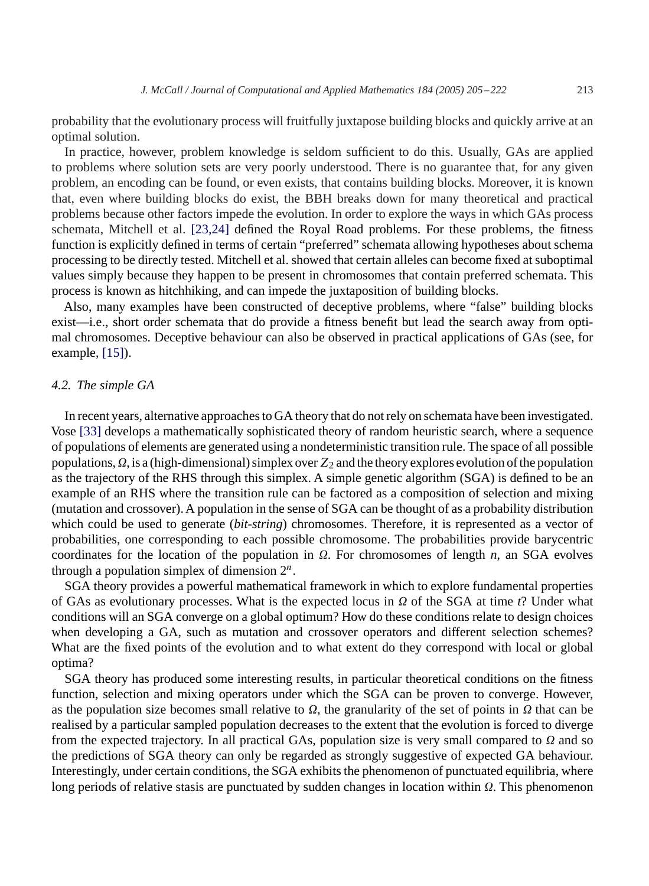probability that the evolutionary process will fruitfully juxtapose building blocks and quickly arrive at an optimal solution.

In practice, however, problem knowledge is seldom sufficient to do this. Usually, GAs are applied to problems where solution sets are very poorly understood. There is no guarantee that, for any given problem, an encoding can be found, or even exists, that contains building blocks. Moreover, it is known that, even where building blocks do exist, the BBH breaks down for many theoretical and practical problems because other factors impede the evolution. In order to explore the ways in which GAs process schemata, Mitchell et al. [23,24] defined the Royal Road problems. For these problems, the fitness function is explicitly defined in terms of certain "preferred" schemata allowing hypotheses about schema processing to be directly tested. Mitchell et al. showed that certain alleles can become fixed at suboptimal values simply because they happen to be present in chromosomes that contain preferred schemata. This process is known as hitchhiking, and can impede the juxtaposition of building blocks.

Also, many examples have been constructed of deceptive problems, where "false" building blocks exist—i.e., short order schemata that do provide a fitness benefit but lead the search away from optimal chromosomes. Deceptive behaviour can also be observed in practical applications of GAs (see, for example, [\[15\]\)](#page-16-0).

#### *4.2. The simple GA*

In recent years, alternative approaches to GA theory that do not rely on schemata have been investigated. Vose [\[33\]](#page-17-0) develops a mathematically sophisticated theory of random heuristic search, where a sequence of populations of elements are generated using a nondeterministic transition rule. The space of all possible populations,  $\Omega$ , is a (high-dimensional) simplex over  $Z_2$  and the theory explores evolution of the population as the trajectory of the RHS through this simplex. A simple genetic algorithm (SGA) is defined to be an example of an RHS where the transition rule can be factored as a composition of selection and mixing (mutation and crossover). A population in the sense of SGA can be thought of as a probability distribution which could be used to generate (*bit-string*) chromosomes. Therefore, it is represented as a vector of probabilities, one corresponding to each possible chromosome. The probabilities provide barycentric coordinates for the location of the population in  $\Omega$ . For chromosomes of length *n*, an SGA evolves through a population simplex of dimension  $2^n$ .

SGA theory provides a powerful mathematical framework in which to explore fundamental properties of GAs as evolutionary processes. What is the expected locus in  $\Omega$  of the SGA at time  $t$ ? Under what conditions will an SGA converge on a global optimum? How do these conditions relate to design choices when developing a GA, such as mutation and crossover operators and different selection schemes? What are the fixed points of the evolution and to what extent do they correspond with local or global optima?

SGA theory has produced some interesting results, in particular theoretical conditions on the fitness function, selection and mixing operators under which the SGA can be proven to converge. However, as the population size becomes small relative to  $\Omega$ , the granularity of the set of points in  $\Omega$  that can be realised by a particular sampled population decreases to the extent that the evolution is forced to diverge from the expected trajectory. In all practical GAs, population size is very small compared to  $\Omega$  and so the predictions of SGA theory can only be regarded as strongly suggestive of expected GA behaviour. Interestingly, under certain conditions, the SGA exhibits the phenomenon of punctuated equilibria, where long periods of relative stasis are punctuated by sudden changes in location within  $\Omega$ . This phenomenon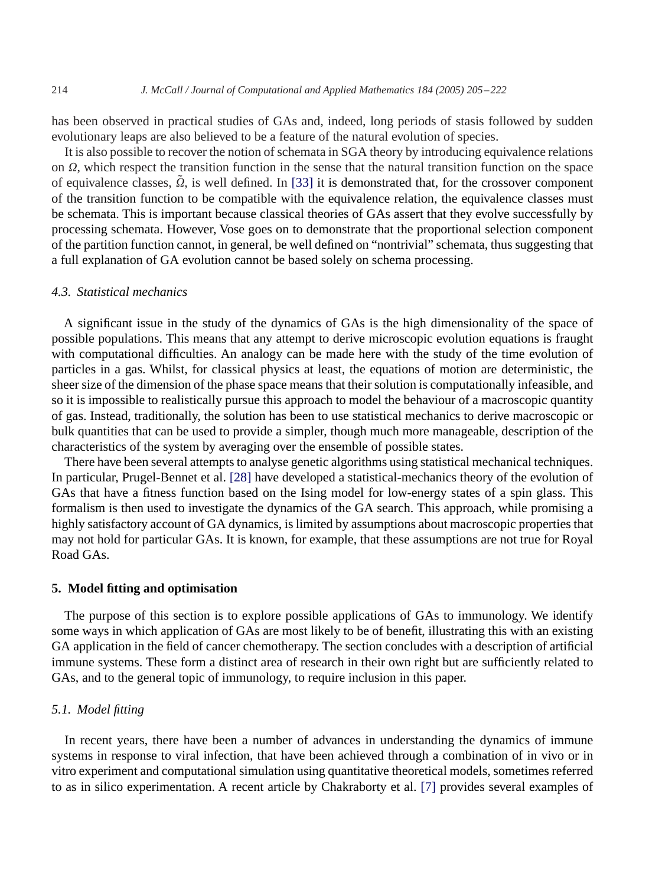has been observed in practical studies of GAs and, indeed, long periods of stasis followed by sudden evolutionary leaps are also believed to be a feature of the natural evolution of species.

It is also possible to recover the notion of schemata in SGA theory by introducing equivalence relations on  $\Omega$ , which respect the transition function in the sense that the natural transition function on the space of equivalence classes,  $\tilde{Q}$ , is well defined. In [\[33\]](#page-17-0) it is demonstrated that, for the crossover component of the transition function to be compatible with the equivalence relation, the equivalence classes must be schemata. This is important because classical theories of GAs assert that they evolve successfully by processing schemata. However, Vose goes on to demonstrate that the proportional selection component of the partition function cannot, in general, be well defined on "nontrivial" schemata, thus suggesting that a full explanation of GA evolution cannot be based solely on schema processing.

# *4.3. Statistical mechanics*

A significant issue in the study of the dynamics of GAs is the high dimensionality of the space of possible populations. This means that any attempt to derive microscopic evolution equations is fraught with computational difficulties. An analogy can be made here with the study of the time evolution of particles in a gas. Whilst, for classical physics at least, the equations of motion are deterministic, the sheer size of the dimension of the phase space means that their solution is computationally infeasible, and so it is impossible to realistically pursue this approach to model the behaviour of a macroscopic quantity of gas. Instead, traditionally, the solution has been to use statistical mechanics to derive macroscopic or bulk quantities that can be used to provide a simpler, though much more manageable, description of the characteristics of the system by averaging over the ensemble of possible states.

There have been several attempts to analyse genetic algorithms using statistical mechanical techniques. In particular, Prugel-Bennet et al. [\[28\]](#page-16-0) have developed a statistical-mechanics theory of the evolution of GAs that have a fitness function based on the Ising model for low-energy states of a spin glass. This formalism is then used to investigate the dynamics of the GA search. This approach, while promising a highly satisfactory account of GA dynamics, is limited by assumptions about macroscopic properties that may not hold for particular GAs. It is known, for example, that these assumptions are not true for Royal Road GAs.

# **5. Model fitting and optimisation**

The purpose of this section is to explore possible applications of GAs to immunology. We identify some ways in which application of GAs are most likely to be of benefit, illustrating this with an existing GA application in the field of cancer chemotherapy. The section concludes with a description of artificial immune systems. These form a distinct area of research in their own right but are sufficiently related to GAs, and to the general topic of immunology, to require inclusion in this paper.

## *5.1. Model fitting*

In recent years, there have been a number of advances in understanding the dynamics of immune systems in response to viral infection, that have been achieved through a combination of in vivo or in vitro experiment and computational simulation using quantitative theoretical models, sometimes referred to as in silico experimentation. A recent article by Chakraborty et al. [\[7\]](#page-16-0) provides several examples of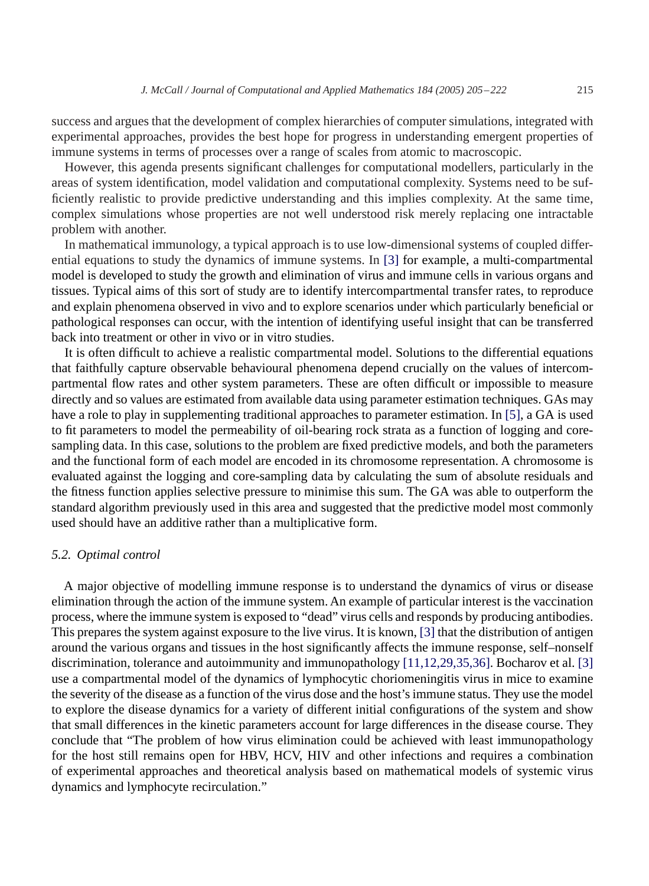success and argues that the development of complex hierarchies of computer simulations, integrated with experimental approaches, provides the best hope for progress in understanding emergent properties of immune systems in terms of processes over a range of scales from atomic to macroscopic.

However, this agenda presents significant challenges for computational modellers, particularly in the areas of system identification, model validation and computational complexity. Systems need to be sufficiently realistic to provide predictive understanding and this implies complexity. At the same time, complex simulations whose properties are not well understood risk merely replacing one intractable problem with another.

In mathematical immunology, a typical approach is to use low-dimensional systems of coupled differential equations to study the dynamics of immune systems. In [\[3\]](#page-16-0) for example, a multi-compartmental model is developed to study the growth and elimination of virus and immune cells in various organs and tissues. Typical aims of this sort of study are to identify intercompartmental transfer rates, to reproduce and explain phenomena observed in vivo and to explore scenarios under which particularly beneficial or pathological responses can occur, with the intention of identifying useful insight that can be transferred back into treatment or other in vivo or in vitro studies.

It is often difficult to achieve a realistic compartmental model. Solutions to the differential equations that faithfully capture observable behavioural phenomena depend crucially on the values of intercompartmental flow rates and other system parameters. These are often difficult or impossible to measure directly and so values are estimated from available data using parameter estimation techniques. GAs may have a role to play in supplementing traditional approaches to parameter estimation. In [\[5\],](#page-16-0) a GA is used to fit parameters to model the permeability of oil-bearing rock strata as a function of logging and coresampling data. In this case, solutions to the problem are fixed predictive models, and both the parameters and the functional form of each model are encoded in its chromosome representation. A chromosome is evaluated against the logging and core-sampling data by calculating the sum of absolute residuals and the fitness function applies selective pressure to minimise this sum. The GA was able to outperform the standard algorithm previously used in this area and suggested that the predictive model most commonly used should have an additive rather than a multiplicative form.

#### *5.2. Optimal control*

A major objective of modelling immune response is to understand the dynamics of virus or disease elimination through the action of the immune system. An example of particular interest is the vaccination process, where the immune system is exposed to "dead" virus cells and responds by producing antibodies. This prepares the system against exposure to the live virus. It is known, [\[3\]](#page-16-0) that the distribution of antigen around the various organs and tissues in the host significantly affects the immune response, self–nonself discrimination, tolerance and autoimmunity and immunopathology [11,12,29,35,36]. Bocharovet al. [\[3\]](#page-16-0) use a compartmental model of the dynamics of lymphocytic choriomeningitis virus in mice to examine the severity of the disease as a function of the virus dose and the host's immune status. They use the model to explore the disease dynamics for a variety of different initial configurations of the system and show that small differences in the kinetic parameters account for large differences in the disease course. They conclude that "The problem of how virus elimination could be achieved with least immunopathology for the host still remains open for HBV, HCV, HIV and other infections and requires a combination of experimental approaches and theoretical analysis based on mathematical models of systemic virus dynamics and lymphocyte recirculation."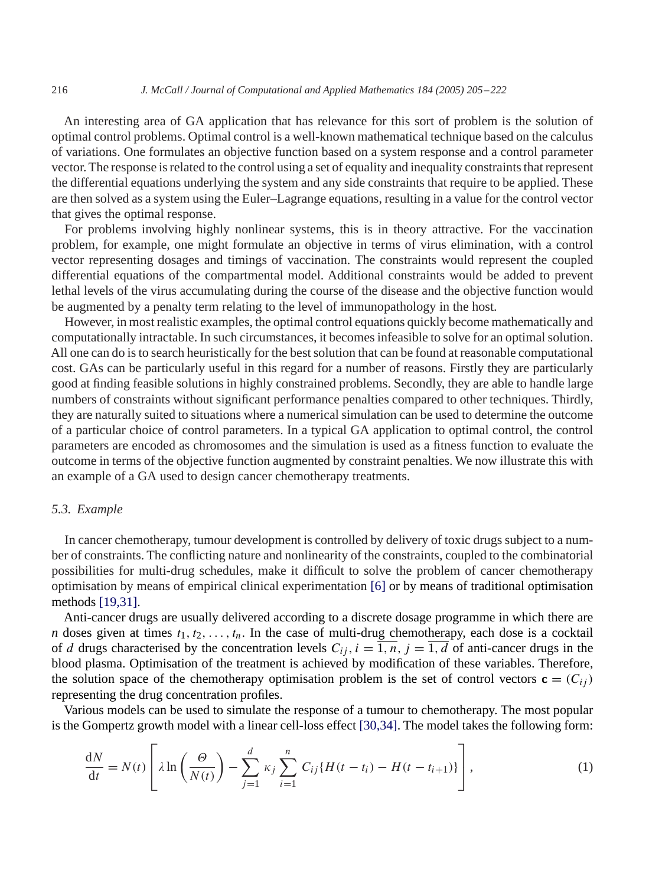An interesting area of GA application that has relevance for this sort of problem is the solution of optimal control problems. Optimal control is a well-known mathematical technique based on the calculus of variations. One formulates an objective function based on a system response and a control parameter vector. The response is related to the control using a set of equality and inequality constraints that represent the differential equations underlying the system and any side constraints that require to be applied. These are then solved as a system using the Euler–Lagrange equations, resulting in a value for the control vector that gives the optimal response.

For problems involving highly nonlinear systems, this is in theory attractive. For the vaccination problem, for example, one might formulate an objective in terms of virus elimination, with a control vector representing dosages and timings of vaccination. The constraints would represent the coupled differential equations of the compartmental model. Additional constraints would be added to prevent lethal levels of the virus accumulating during the course of the disease and the objective function would be augmented by a penalty term relating to the level of immunopathology in the host.

However, in most realistic examples, the optimal control equations quickly become mathematically and computationally intractable. In such circumstances, it becomes infeasible to solve for an optimal solution. All one can do is to search heuristically for the best solution that can be found at reasonable computational cost. GAs can be particularly useful in this regard for a number of reasons. Firstly they are particularly good at finding feasible solutions in highly constrained problems. Secondly, they are able to handle large numbers of constraints without significant performance penalties compared to other techniques. Thirdly, they are naturally suited to situations where a numerical simulation can be used to determine the outcome of a particular choice of control parameters. In a typical GA application to optimal control, the control parameters are encoded as chromosomes and the simulation is used as a fitness function to evaluate the outcome in terms of the objective function augmented by constraint penalties. We now illustrate this with an example of a GA used to design cancer chemotherapy treatments.

# *5.3. Example*

In cancer chemotherapy, tumour development is controlled by delivery of toxic drugs subject to a number of constraints. The conflicting nature and nonlinearity of the constraints, coupled to the combinatorial possibilities for multi-drug schedules, make it difficult to solve the problem of cancer chemotherapy optimisation by means of empirical clinical experimentation [\[6\]](#page-16-0) or by means of traditional optimisation methods [19,31].

Anti-cancer drugs are usually delivered according to a discrete dosage programme in which there are *n* doses given at times  $t_1, t_2, \ldots, t_n$ . In the case of multi-drug chemotherapy, each dose is a cocktail of d drugs characterised by the concentration levels  $C_{ij}$ ,  $i = \overline{1, n}$ ,  $j = \overline{1, d}$  of anti-cancer drugs in the blood plasma. Optimisation of the treatment is achieved by modification of these variables. Therefore, the solution space of the chemotherapy optimisation problem is the set of control vectors  $\mathbf{c} = (C_{ij})$ representing the drug concentration profiles.

Various models can be used to simulate the response of a tumour to chemotherapy. The most popular is the Gompertz growth model with a linear cell-loss effect [30,34]. The model takes the following form:

$$
\frac{dN}{dt} = N(t) \left[ \lambda \ln \left( \frac{\Theta}{N(t)} \right) - \sum_{j=1}^{d} \kappa_j \sum_{i=1}^{n} C_{ij} \{ H(t - t_i) - H(t - t_{i+1}) \} \right],
$$
\n(1)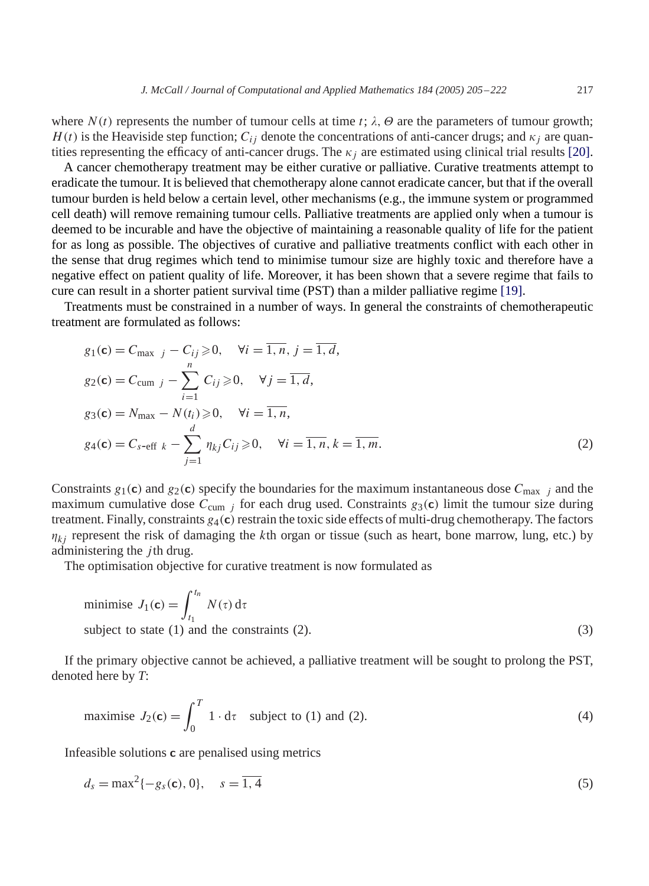where  $N(t)$  represents the number of tumour cells at time t;  $\lambda$ ,  $\Theta$  are the parameters of tumour growth;  $H(t)$  is the Heaviside step function;  $C_{ij}$  denote the concentrations of anti-cancer drugs; and  $\kappa_i$  are quantities representing the efficacy of anti-cancer drugs. The  $\kappa_i$  are estimated using clinical trial results [\[20\].](#page-16-0)

A cancer chemotherapy treatment may be either curative or palliative. Curative treatments attempt to eradicate the tumour. It is believed that chemotherapy alone cannot eradicate cancer, but that if the overall tumour burden is held below a certain level, other mechanisms (e.g., the immune system or programmed cell death) will remove remaining tumour cells. Palliative treatments are applied only when a tumour is deemed to be incurable and have the objective of maintaining a reasonable quality of life for the patient for as long as possible. The objectives of curative and palliative treatments conflict with each other in the sense that drug regimes which tend to minimise tumour size are highly toxic and therefore have a negative effect on patient quality of life. Moreover, it has been shown that a severe regime that fails to cure can result in a shorter patient survival time (PST) than a milder palliative regime [\[19\].](#page-16-0)

Treatments must be constrained in a number of ways. In general the constraints of chemotherapeutic treatment are formulated as follows:

$$
g_1(\mathbf{c}) = C_{\text{max}} \quad j - C_{ij} \ge 0, \quad \forall i = \overline{1, n}, j = \overline{1, d},
$$
  
\n
$$
g_2(\mathbf{c}) = C_{\text{cum}} \quad j - \sum_{i=1}^n C_{ij} \ge 0, \quad \forall j = \overline{1, d},
$$
  
\n
$$
g_3(\mathbf{c}) = N_{\text{max}} - N(t_i) \ge 0, \quad \forall i = \overline{1, n},
$$
  
\n
$$
g_4(\mathbf{c}) = C_{s-\text{eff}} \quad k - \sum_{j=1}^d \eta_{kj} C_{ij} \ge 0, \quad \forall i = \overline{1, n}, k = \overline{1, m}.
$$
  
\n(2)

Constraints  $g_1(c)$  and  $g_2(c)$  specify the boundaries for the maximum instantaneous dose  $C_{\text{max}}$  *i* and the maximum cumulative dose  $C_{\text{cum }i}$  for each drug used. Constraints  $g_3(c)$  limit the tumour size during treatment. Finally, constraints  $g_4(c)$  restrain the toxic side effects of multi-drug chemotherapy. The factors  $\eta_{ki}$  represent the risk of damaging the kth organ or tissue (such as heart, bone marrow, lung, etc.) by administering the  $j$ th drug.

The optimisation objective for curative treatment is now formulated as

minimise 
$$
J_1(\mathbf{c}) = \int_{t_1}^{t_n} N(\tau) d\tau
$$
  
subject to state (1) and the constraints (2). (3)

If the primary objective cannot be achieved, a palliative treatment will be sought to prolong the PST, denoted here by *T*:

maximise 
$$
J_2(\mathbf{c}) = \int_0^T 1 \cdot d\tau
$$
 subject to (1) and (2). (4)

Infeasible solutions **c** are penalised using metrics

$$
d_s = \max^2\{-g_s(\mathbf{c}), 0\}, \quad s = \overline{1, 4} \tag{5}
$$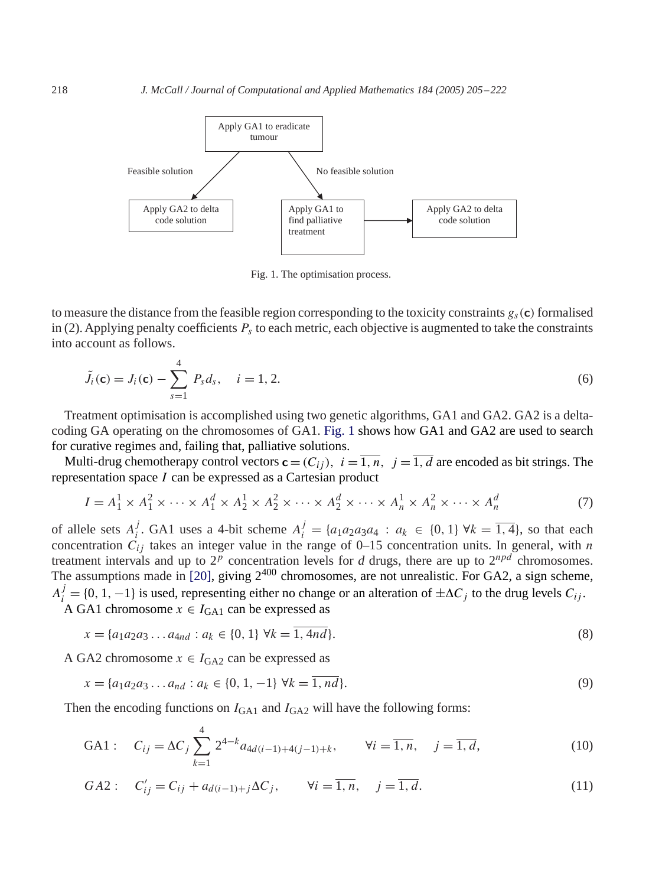

Fig. 1. The optimisation process.

to measure the distance from the feasible region corresponding to the toxicity constraints  $g_s(c)$  formalised in (2). Applying penalty coefficients  $P_s$  to each metric, each objective is augmented to take the constraints into account as follows.

$$
\tilde{J}_i(\mathbf{c}) = J_i(\mathbf{c}) - \sum_{s=1}^4 P_s d_s, \quad i = 1, 2.
$$
\n
$$
(6)
$$

Treatment optimisation is accomplished using two genetic algorithms, GA1 and GA2. GA2 is a deltacoding GA operating on the chromosomes of GA1. Fig. 1 shows how GA1 and GA2 are used to search for curative regimes and, failing that, palliative solutions.

Multi-drug chemotherapy control vectors  $\mathbf{c} = (C_{ij})$ ,  $i = \overline{1, n}$ ,  $j = \overline{1, d}$  are encoded as bit strings. The representation space I can be expressed as a Cartesian product

$$
I = A_1^1 \times A_1^2 \times \dots \times A_1^d \times A_2^1 \times A_2^2 \times \dots \times A_2^d \times \dots \times A_n^1 \times A_n^2 \times \dots \times A_n^d
$$
 (7)

of allele sets  $A_i^j$ . GA1 uses a 4-bit scheme  $A_i^j = \{a_1a_2a_3a_4 : a_k \in \{0, 1\} \forall k = \overline{1, 4}\}$ , so that each concentration  $C_{ij}$  takes an integer value in the range of 0–15 concentration units. In general, with n treatment intervals and up to  $2^p$  concentration levels for *d* drugs, there are up to  $2^{npd}$  chromosomes. The assumptions made in  $[20]$ , giving  $2^{400}$  chromosomes, are not unrealistic. For GA2, a sign scheme,  $A_i^j = \{0, 1, -1\}$  is used, representing either no change or an alteration of  $\pm \Delta C_j$  to the drug levels  $C_{ij}$ .

A GA1 chromosome  $x \in I_{GA1}$  can be expressed as

$$
x = \{a_1 a_2 a_3 \dots a_{4nd} : a_k \in \{0, 1\} \ \forall k = \overline{1, 4nd} \}.
$$
\n
$$
(8)
$$

A GA2 chromosome  $x \in I_{\text{GA2}}$  can be expressed as

$$
x = \{a_1 a_2 a_3 \dots a_{nd} : a_k \in \{0, 1, -1\} \ \forall k = \overline{1, nd}\}.
$$
\n
$$
(9)
$$

Then the encoding functions on  $I_{GAI}$  and  $I_{GAZ}$  will have the following forms:

$$
GA1: \quad C_{ij} = \Delta C_j \sum_{k=1}^{4} 2^{4-k} a_{4d(i-1)+4(j-1)+k}, \qquad \forall i = \overline{1, n}, \quad j = \overline{1, d}, \tag{10}
$$

$$
GA2: \quad C'_{ij} = C_{ij} + a_{d(i-1)+j} \Delta C_j, \qquad \forall i = \overline{1, n}, \quad j = \overline{1, d}.
$$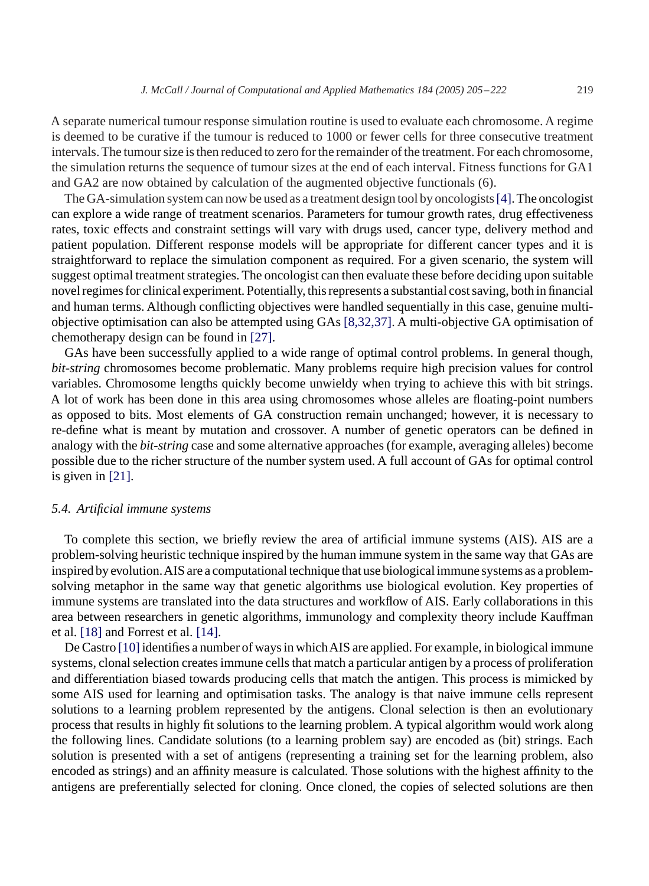A separate numerical tumour response simulation routine is used to evaluate each chromosome. A regime is deemed to be curative if the tumour is reduced to 1000 or fewer cells for three consecutive treatment intervals. The tumour size is then reduced to zero for the remainder of the treatment. For each chromosome, the simulation returns the sequence of tumour sizes at the end of each interval. Fitness functions for GA1 and GA2 are now obtained by calculation of the augmented objective functionals (6).

The GA-simulation system can now be used as a treatment design tool by oncologists[\[4\].](#page-16-0) The oncologist can explore a wide range of treatment scenarios. Parameters for tumour growth rates, drug effectiveness rates, toxic effects and constraint settings will vary with drugs used, cancer type, delivery method and patient population. Different response models will be appropriate for different cancer types and it is straightforward to replace the simulation component as required. For a given scenario, the system will suggest optimal treatment strategies. The oncologist can then evaluate these before deciding upon suitable novel regimes for clinical experiment. Potentially, this represents a substantial cost saving, both in financial and human terms. Although conflicting objectives were handled sequentially in this case, genuine multiobjective optimisation can also be attempted using GAs [8,32,37]. A multi-objective GA optimisation of chemotherapy design can be found in [\[27\].](#page-16-0)

GAs have been successfully applied to a wide range of optimal control problems. In general though, *bit-string* chromosomes become problematic. Many problems require high precision values for control variables. Chromosome lengths quickly become unwieldy when trying to achieve this with bit strings. A lot of work has been done in this area using chromosomes whose alleles are floating-point numbers as opposed to bits. Most elements of GA construction remain unchanged; however, it is necessary to re-define what is meant by mutation and crossover. A number of genetic operators can be defined in analogy with the *bit-string* case and some alternative approaches (for example, averaging alleles) become possible due to the richer structure of the number system used. A full account of GAs for optimal control is given in [\[21\].](#page-16-0)

#### *5.4. Artificial immune systems*

To complete this section, we briefly review the area of artificial immune systems (AIS). AIS are a problem-solving heuristic technique inspired by the human immune system in the same way that GAs are inspired by evolution.AIS are a computational technique that use biological immune systems as a problemsolving metaphor in the same way that genetic algorithms use biological evolution. Key properties of immune systems are translated into the data structures and workflow of AIS. Early collaborations in this area between researchers in genetic algorithms, immunology and complexity theory include Kauffman et al. [\[18\]](#page-16-0) and Forrest et al. [\[14\].](#page-16-0)

De Castro [\[10\]](#page-16-0) identifies a number of ways in which AIS are applied. For example, in biological immune systems, clonal selection creates immune cells that match a particular antigen by a process of proliferation and differentiation biased towards producing cells that match the antigen. This process is mimicked by some AIS used for learning and optimisation tasks. The analogy is that naive immune cells represent solutions to a learning problem represented by the antigens. Clonal selection is then an evolutionary process that results in highly fit solutions to the learning problem. A typical algorithm would work along the following lines. Candidate solutions (to a learning problem say) are encoded as (bit) strings. Each solution is presented with a set of antigens (representing a training set for the learning problem, also encoded as strings) and an affinity measure is calculated. Those solutions with the highest affinity to the antigens are preferentially selected for cloning. Once cloned, the copies of selected solutions are then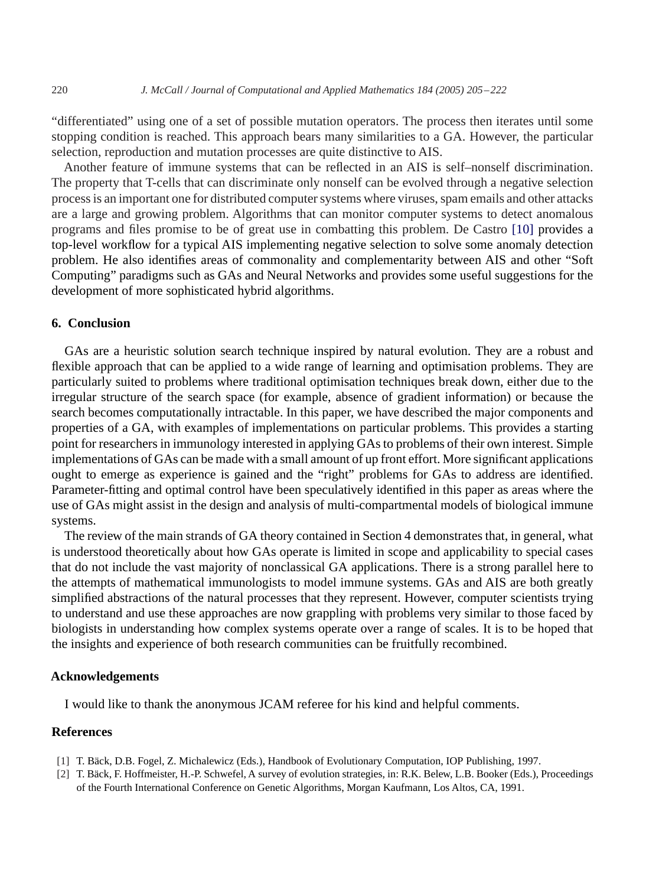<span id="page-15-0"></span>"differentiated" using one of a set of possible mutation operators. The process then iterates until some stopping condition is reached. This approach bears many similarities to a GA. However, the particular selection, reproduction and mutation processes are quite distinctive to AIS.

Another feature of immune systems that can be reflected in an AIS is self–nonself discrimination. The property that T-cells that can discriminate only nonself can be evolved through a negative selection process is an important one for distributed computer systems where viruses, spam emails and other attacks are a large and growing problem. Algorithms that can monitor computer systems to detect anomalous programs and files promise to be of great use in combatting this problem. De Castro [\[10\]](#page-16-0) provides a top-level workflow for a typical AIS implementing negative selection to solve some anomaly detection problem. He also identifies areas of commonality and complementarity between AIS and other "Soft Computing" paradigms such as GAs and Neural Networks and provides some useful suggestions for the development of more sophisticated hybrid algorithms.

# **6. Conclusion**

GAs are a heuristic solution search technique inspired by natural evolution. They are a robust and flexible approach that can be applied to a wide range of learning and optimisation problems. They are particularly suited to problems where traditional optimisation techniques break down, either due to the irregular structure of the search space (for example, absence of gradient information) or because the search becomes computationally intractable. In this paper, we have described the major components and properties of a GA, with examples of implementations on particular problems. This provides a starting point for researchers in immunology interested in applying GAs to problems of their own interest. Simple implementations of GAs can be made with a small amount of up front effort. More significant applications ought to emerge as experience is gained and the "right" problems for GAs to address are identified. Parameter-fitting and optimal control have been speculatively identified in this paper as areas where the use of GAs might assist in the design and analysis of multi-compartmental models of biological immune systems.

The review of the main strands of GA theory contained in Section 4 demonstrates that, in general, what is understood theoretically about how GAs operate is limited in scope and applicability to special cases that do not include the vast majority of nonclassical GA applications. There is a strong parallel here to the attempts of mathematical immunologists to model immune systems. GAs and AIS are both greatly simplified abstractions of the natural processes that they represent. However, computer scientists trying to understand and use these approaches are now grappling with problems very similar to those faced by biologists in understanding how complex systems operate over a range of scales. It is to be hoped that the insights and experience of both research communities can be fruitfully recombined.

# **Acknowledgements**

I would like to thank the anonymous JCAM referee for his kind and helpful comments.

# **References**

- [1] T. Bäck, D.B. Fogel, Z. Michalewicz (Eds.), Handbook of Evolutionary Computation, IOP Publishing, 1997.
- [2] T. Bäck, F. Hoffmeister, H.-P. Schwefel, A survey of evolution strategies, in: R.K. Belew, L.B. Booker (Eds.), Proceedings of the Fourth International Conference on Genetic Algorithms, Morgan Kaufmann, Los Altos, CA, 1991.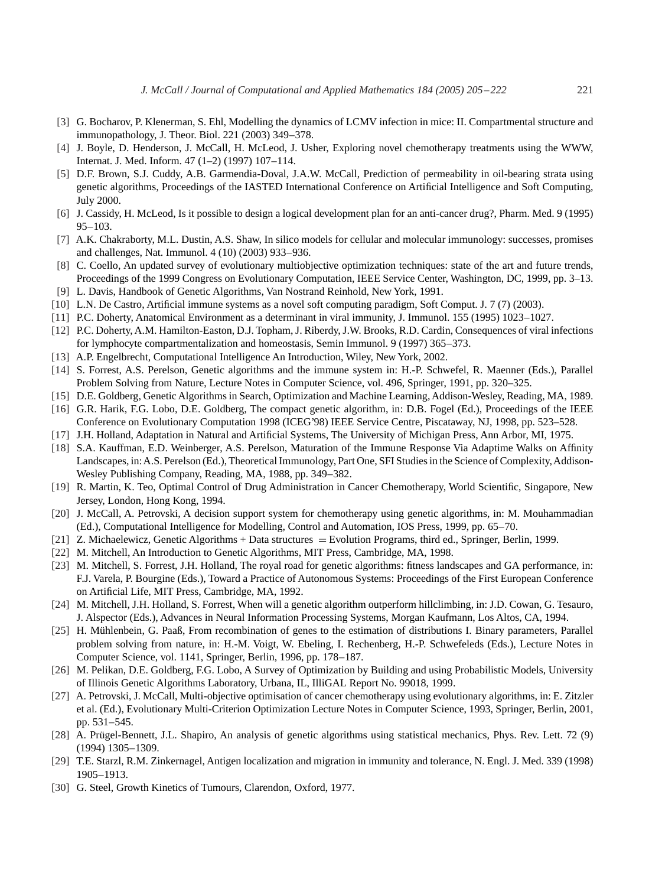- <span id="page-16-0"></span>[3] G. Bocharov, P. Klenerman, S. Ehl, Modelling the dynamics of LCMV infection in mice: II. Compartmental structure and immunopathology, J. Theor. Biol. 221 (2003) 349–378.
- [4] J. Boyle, D. Henderson, J. McCall, H. McLeod, J. Usher, Exploring novel chemotherapy treatments using the WWW, Internat. J. Med. Inform. 47 (1–2) (1997) 107–114.
- [5] D.F. Brown, S.J. Cuddy, A.B. Garmendia-Doval, J.A.W. McCall, Prediction of permeability in oil-bearing strata using genetic algorithms, Proceedings of the IASTED International Conference on Artificial Intelligence and Soft Computing, July 2000.
- [6] J. Cassidy, H. McLeod, Is it possible to design a logical development plan for an anti-cancer drug?, Pharm. Med. 9 (1995) 95–103.
- [7] A.K. Chakraborty, M.L. Dustin, A.S. Shaw, In silico models for cellular and molecular immunology: successes, promises and challenges, Nat. Immunol. 4 (10) (2003) 933–936.
- [8] C. Coello, An updated survey of evolutionary multiobjective optimization techniques: state of the art and future trends, Proceedings of the 1999 Congress on Evolutionary Computation, IEEE Service Center, Washington, DC, 1999, pp. 3–13.
- [9] L. Davis, Handbook of Genetic Algorithms, Van Nostrand Reinhold, New York, 1991.
- [10] L.N. De Castro, Artificial immune systems as a novel soft computing paradigm, Soft Comput. J. 7 (7) (2003).
- [11] P.C. Doherty, Anatomical Environment as a determinant in viral immunity, J. Immunol. 155 (1995) 1023–1027.
- [12] P.C. Doherty, A.M. Hamilton-Easton, D.J. Topham, J. Riberdy, J.W. Brooks, R.D. Cardin, Consequences of viral infections for lymphocyte compartmentalization and homeostasis, Semin Immunol. 9 (1997) 365–373.
- [13] A.P. Engelbrecht, Computational Intelligence An Introduction, Wiley, New York, 2002.
- [14] S. Forrest, A.S. Perelson, Genetic algorithms and the immune system in: H.-P. Schwefel, R. Maenner (Eds.), Parallel Problem Solving from Nature, Lecture Notes in Computer Science, vol. 496, Springer, 1991, pp. 320–325.
- [15] D.E. Goldberg, Genetic Algorithms in Search, Optimization and Machine Learning, Addison-Wesley, Reading, MA, 1989.
- [16] G.R. Harik, F.G. Lobo, D.E. Goldberg, The compact genetic algorithm, in: D.B. Fogel (Ed.), Proceedings of the IEEE Conference on Evolutionary Computation 1998 (ICEG'98) IEEE Service Centre, Piscataway, NJ, 1998, pp. 523–528.
- [17] J.H. Holland, Adaptation in Natural and Artificial Systems, The University of Michigan Press, Ann Arbor, MI, 1975.
- [18] S.A. Kauffman, E.D. Weinberger, A.S. Perelson, Maturation of the Immune Response Via Adaptime Walks on Affinity Landscapes, in: A.S. Perelson (Ed.), Theoretical Immunology, Part One, SFI Studies in the Science of Complexity, Addison-Wesley Publishing Company, Reading, MA, 1988, pp. 349–382.
- [19] R. Martin, K. Teo, Optimal Control of Drug Administration in Cancer Chemotherapy, World Scientific, Singapore, New Jersey, London, Hong Kong, 1994.
- [20] J. McCall, A. Petrovski, A decision support system for chemotherapy using genetic algorithms, in: M. Mouhammadian (Ed.), Computational Intelligence for Modelling, Control and Automation, IOS Press, 1999, pp. 65–70.
- [21] Z. Michaelewicz, Genetic Algorithms + Data structures = Evolution Programs, third ed., Springer, Berlin, 1999.
- [22] M. Mitchell, An Introduction to Genetic Algorithms, MIT Press, Cambridge, MA, 1998.
- [23] M. Mitchell, S. Forrest, J.H. Holland, The royal road for genetic algorithms: fitness landscapes and GA performance, in: F.J. Varela, P. Bourgine (Eds.), Toward a Practice of Autonomous Systems: Proceedings of the First European Conference on Artificial Life, MIT Press, Cambridge, MA, 1992.
- [24] M. Mitchell, J.H. Holland, S. Forrest, When will a genetic algorithm outperform hillclimbing, in: J.D. Cowan, G. Tesauro, J. Alspector (Eds.), Advances in Neural Information Processing Systems, Morgan Kaufmann, Los Altos, CA, 1994.
- [25] H. Mühlenbein, G. Paaß, From recombination of genes to the estimation of distributions I. Binary parameters, Parallel problem solving from nature, in: H.-M. Voigt, W. Ebeling, I. Rechenberg, H.-P. Schwefeleds (Eds.), Lecture Notes in Computer Science, vol. 1141, Springer, Berlin, 1996, pp. 178–187.
- [26] M. Pelikan, D.E. Goldberg, F.G. Lobo, A Survey of Optimization by Building and using Probabilistic Models, University of Illinois Genetic Algorithms Laboratory, Urbana, IL, IlliGAL Report No. 99018, 1999.
- [27] A. Petrovski, J. McCall, Multi-objective optimisation of cancer chemotherapy using evolutionary algorithms, in: E. Zitzler et al. (Ed.), Evolutionary Multi-Criterion Optimization Lecture Notes in Computer Science, 1993, Springer, Berlin, 2001, pp. 531–545.
- [28] A. Prügel-Bennett, J.L. Shapiro, An analysis of genetic algorithms using statistical mechanics, Phys. Rev. Lett. 72 (9) (1994) 1305–1309.
- [29] T.E. Starzl, R.M. Zinkernagel, Antigen localization and migration in immunity and tolerance, N. Engl. J. Med. 339 (1998) 1905–1913.
- [30] G. Steel, Growth Kinetics of Tumours, Clarendon, Oxford, 1977.